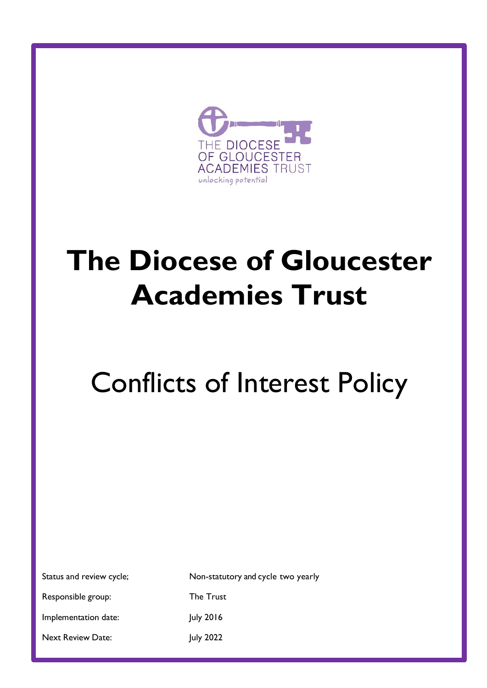

## **The Diocese of Gloucester Academies Trust**

# Conflicts of Interest Policy

|  | Status and review cycle |  |
|--|-------------------------|--|
|  |                         |  |

provide

Status and review cycle; Non-statutory and cycle two yearly Responsible group: The Trust

Implementation date: July 2016

Next Review Date: July 2022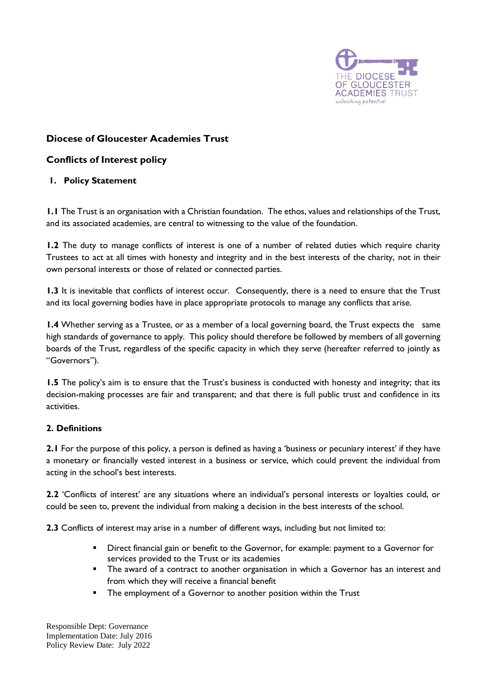

## **Diocese of Gloucester Academies Trust**

### **Conflicts of Interest policy**

#### **1. Policy Statement**

**1.1** The Trust is an organisation with a Christian foundation. The ethos, values and relationships of the Trust, and its associated academies, are central to witnessing to the value of the foundation.

**1.2** The duty to manage conflicts of interest is one of a number of related duties which require charity Trustees to act at all times with honesty and integrity and in the best interests of the charity, not in their own personal interests or those of related or connected parties.

**1.3** It is inevitable that conflicts of interest occur. Consequently, there is a need to ensure that the Trust and its local governing bodies have in place appropriate protocols to manage any conflicts that arise.

**1.4** Whether serving as a Trustee, or as a member of a local governing board, the Trust expects the same high standards of governance to apply. This policy should therefore be followed by members of all governing boards of the Trust, regardless of the specific capacity in which they serve (hereafter referred to jointly as "Governors").

**1.5** The policy's aim is to ensure that the Trust's business is conducted with honesty and integrity; that its decision-making processes are fair and transparent; and that there is full public trust and confidence in its activities.

#### **2. Definitions**

**2.1** For the purpose of this policy, a person is defined as having a 'business or pecuniary interest' if they have a monetary or financially vested interest in a business or service, which could prevent the individual from acting in the school's best interests.

**2.2** 'Conflicts of interest' are any situations where an individual's personal interests or loyalties could, or could be seen to, prevent the individual from making a decision in the best interests of the school.

**2.3** Conflicts of interest may arise in a number of different ways, including but not limited to:

- Direct financial gain or benefit to the Governor, for example: payment to a Governor for services provided to the Trust or its academies
- **•** The award of a contract to another organisation in which a Governor has an interest and from which they will receive a financial benefit
- **•** The employment of a Governor to another position within the Trust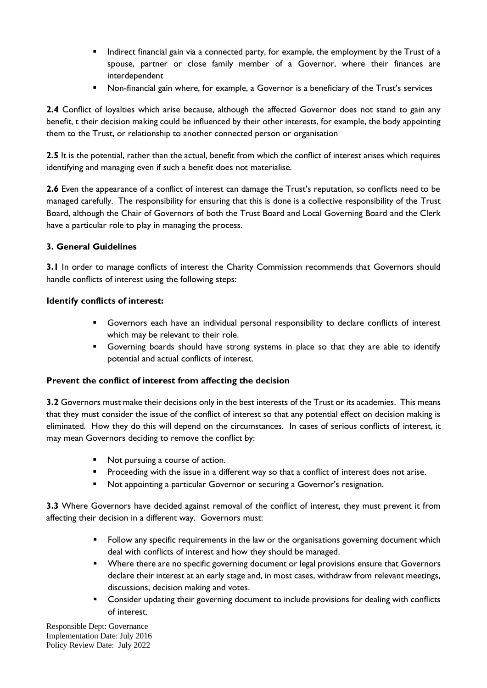- **•** Indirect financial gain via a connected party, for example, the employment by the Trust of a spouse, partner or close family member of a Governor, where their finances are interdependent
- Non-financial gain where, for example, a Governor is a beneficiary of the Trust's services

**2.4** Conflict of loyalties which arise because, although the affected Governor does not stand to gain any benefit, t their decision making could be influenced by their other interests, for example, the body appointing them to the Trust, or relationship to another connected person or organisation

**2.5** It is the potential, rather than the actual, benefit from which the conflict of interest arises which requires identifying and managing even if such a benefit does not materialise.

**2.6** Even the appearance of a conflict of interest can damage the Trust's reputation, so conflicts need to be managed carefully. The responsibility for ensuring that this is done is a collective responsibility of the Trust Board, although the Chair of Governors of both the Trust Board and Local Governing Board and the Clerk have a particular role to play in managing the process.

#### **3. General Guidelines**

**3.1** In order to manage conflicts of interest the Charity Commission recommends that Governors should handle conflicts of interest using the following steps:

#### **Identify conflicts of interest:**

- **•** Governors each have an individual personal responsibility to declare conflicts of interest which may be relevant to their role.
- **EXEDENT** Governing boards should have strong systems in place so that they are able to identify potential and actual conflicts of interest.

#### **Prevent the conflict of interest from affecting the decision**

**3.2** Governors must make their decisions only in the best interests of the Trust or its academies. This means that they must consider the issue of the conflict of interest so that any potential effect on decision making is eliminated. How they do this will depend on the circumstances. In cases of serious conflicts of interest, it may mean Governors deciding to remove the conflict by:

- Not pursuing a course of action.
- **•** Proceeding with the issue in a different way so that a conflict of interest does not arise.
- Not appointing a particular Governor or securing a Governor's resignation.

**3.3** Where Governors have decided against removal of the conflict of interest, they must prevent it from affecting their decision in a different way. Governors must:

- Follow any specific requirements in the law or the organisations governing document which deal with conflicts of interest and how they should be managed.
- **•** Where there are no specific governing document or legal provisions ensure that Governors declare their interest at an early stage and, in most cases, withdraw from relevant meetings, discussions, decision making and votes.
- Consider updating their governing document to include provisions for dealing with conflicts of interest.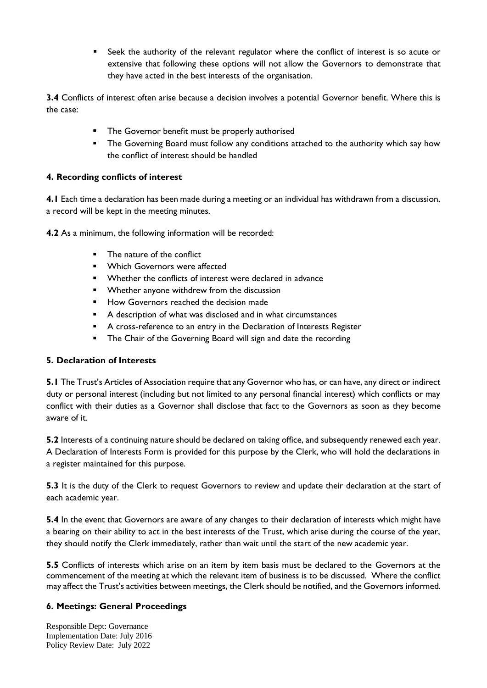■ Seek the authority of the relevant regulator where the conflict of interest is so acute or extensive that following these options will not allow the Governors to demonstrate that they have acted in the best interests of the organisation.

**3.4** Conflicts of interest often arise because a decision involves a potential Governor benefit. Where this is the case:

- The Governor benefit must be properly authorised
- **•** The Governing Board must follow any conditions attached to the authority which say how the conflict of interest should be handled

#### **4. Recording conflicts of interest**

**4.1** Each time a declaration has been made during a meeting or an individual has withdrawn from a discussion, a record will be kept in the meeting minutes.

**4.2** As a minimum, the following information will be recorded:

- The nature of the conflict
- Which Governors were affected
- Whether the conflicts of interest were declared in advance
- Whether anyone withdrew from the discussion
- How Governors reached the decision made
- A description of what was disclosed and in what circumstances
- A cross-reference to an entry in the Declaration of Interests Register
- The Chair of the Governing Board will sign and date the recording

#### **5. Declaration of Interests**

**5.1** The Trust's Articles of Association require that any Governor who has, or can have, any direct or indirect duty or personal interest (including but not limited to any personal financial interest) which conflicts or may conflict with their duties as a Governor shall disclose that fact to the Governors as soon as they become aware of it.

**5.2** Interests of a continuing nature should be declared on taking office, and subsequently renewed each year. A Declaration of Interests Form is provided for this purpose by the Clerk, who will hold the declarations in a register maintained for this purpose.

**5.3** It is the duty of the Clerk to request Governors to review and update their declaration at the start of each academic year.

**5.4** In the event that Governors are aware of any changes to their declaration of interests which might have a bearing on their ability to act in the best interests of the Trust, which arise during the course of the year, they should notify the Clerk immediately, rather than wait until the start of the new academic year.

**5.5** Conflicts of interests which arise on an item by item basis must be declared to the Governors at the commencement of the meeting at which the relevant item of business is to be discussed. Where the conflict may affect the Trust's activities between meetings, the Clerk should be notified, and the Governors informed.

#### **6. Meetings: General Proceedings**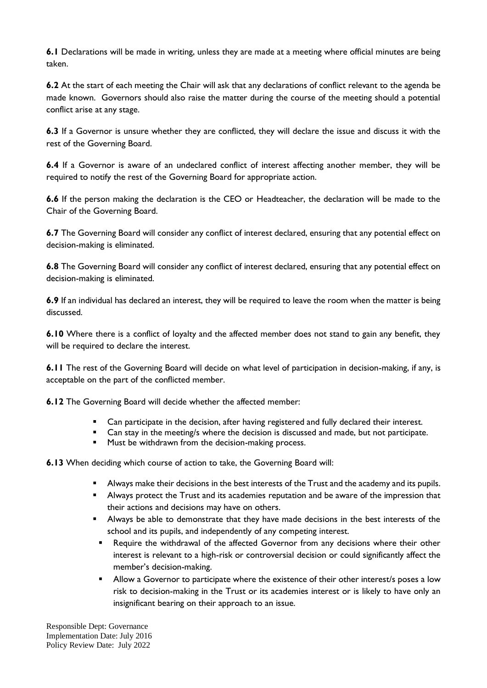**6.1** Declarations will be made in writing, unless they are made at a meeting where official minutes are being taken.

**6.2** At the start of each meeting the Chair will ask that any declarations of conflict relevant to the agenda be made known. Governors should also raise the matter during the course of the meeting should a potential conflict arise at any stage.

**6.3** If a Governor is unsure whether they are conflicted, they will declare the issue and discuss it with the rest of the Governing Board.

**6.4** If a Governor is aware of an undeclared conflict of interest affecting another member, they will be required to notify the rest of the Governing Board for appropriate action.

**6.6** If the person making the declaration is the CEO or Headteacher, the declaration will be made to the Chair of the Governing Board.

**6.7** The Governing Board will consider any conflict of interest declared, ensuring that any potential effect on decision-making is eliminated.

**6.8** The Governing Board will consider any conflict of interest declared, ensuring that any potential effect on decision-making is eliminated.

**6.9** If an individual has declared an interest, they will be required to leave the room when the matter is being discussed.

**6.10** Where there is a conflict of loyalty and the affected member does not stand to gain any benefit, they will be required to declare the interest.

**6.11** The rest of the Governing Board will decide on what level of participation in decision-making, if any, is acceptable on the part of the conflicted member.

**6.12** The Governing Board will decide whether the affected member:

- Can participate in the decision, after having registered and fully declared their interest.
- Can stay in the meeting/s where the decision is discussed and made, but not participate.
- Must be withdrawn from the decision-making process.

**6.13** When deciding which course of action to take, the Governing Board will:

- **E** Always make their decisions in the best interests of the Trust and the academy and its pupils.
- **E** Always protect the Trust and its academies reputation and be aware of the impression that their actions and decisions may have on others.
- **E** Always be able to demonstrate that they have made decisions in the best interests of the school and its pupils, and independently of any competing interest.
	- Require the withdrawal of the affected Governor from any decisions where their other interest is relevant to a high-risk or controversial decision or could significantly affect the member's decision-making.
	- **E** Allow a Governor to participate where the existence of their other interest/s poses a low risk to decision-making in the Trust or its academies interest or is likely to have only an insignificant bearing on their approach to an issue.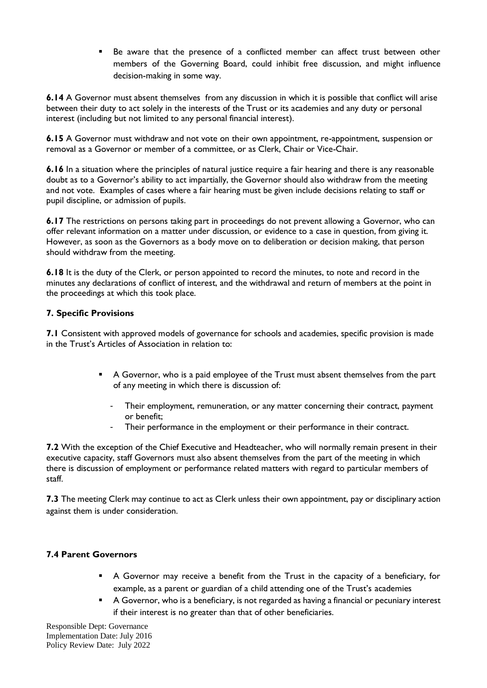▪ Be aware that the presence of a conflicted member can affect trust between other members of the Governing Board, could inhibit free discussion, and might influence decision-making in some way.

**6.14** A Governor must absent themselves from any discussion in which it is possible that conflict will arise between their duty to act solely in the interests of the Trust or its academies and any duty or personal interest (including but not limited to any personal financial interest).

**6.15** A Governor must withdraw and not vote on their own appointment, re-appointment, suspension or removal as a Governor or member of a committee, or as Clerk, Chair or Vice-Chair.

**6.16** In a situation where the principles of natural justice require a fair hearing and there is any reasonable doubt as to a Governor's ability to act impartially, the Governor should also withdraw from the meeting and not vote. Examples of cases where a fair hearing must be given include decisions relating to staff or pupil discipline, or admission of pupils.

**6.17** The restrictions on persons taking part in proceedings do not prevent allowing a Governor, who can offer relevant information on a matter under discussion, or evidence to a case in question, from giving it. However, as soon as the Governors as a body move on to deliberation or decision making, that person should withdraw from the meeting.

**6.18** It is the duty of the Clerk, or person appointed to record the minutes, to note and record in the minutes any declarations of conflict of interest, and the withdrawal and return of members at the point in the proceedings at which this took place.

#### **7. Specific Provisions**

**7.1** Consistent with approved models of governance for schools and academies, specific provision is made in the Trust's Articles of Association in relation to:

- A Governor, who is a paid employee of the Trust must absent themselves from the part of any meeting in which there is discussion of:
	- Their employment, remuneration, or any matter concerning their contract, payment or benefit;
	- Their performance in the employment or their performance in their contract.

**7.2** With the exception of the Chief Executive and Headteacher, who will normally remain present in their executive capacity, staff Governors must also absent themselves from the part of the meeting in which there is discussion of employment or performance related matters with regard to particular members of staff.

**7.3** The meeting Clerk may continue to act as Clerk unless their own appointment, pay or disciplinary action against them is under consideration.

#### **7.4 Parent Governors**

- **EX** A Governor may receive a benefit from the Trust in the capacity of a beneficiary, for example, as a parent or guardian of a child attending one of the Trust's academies
- A Governor, who is a beneficiary, is not regarded as having a financial or pecuniary interest if their interest is no greater than that of other beneficiaries.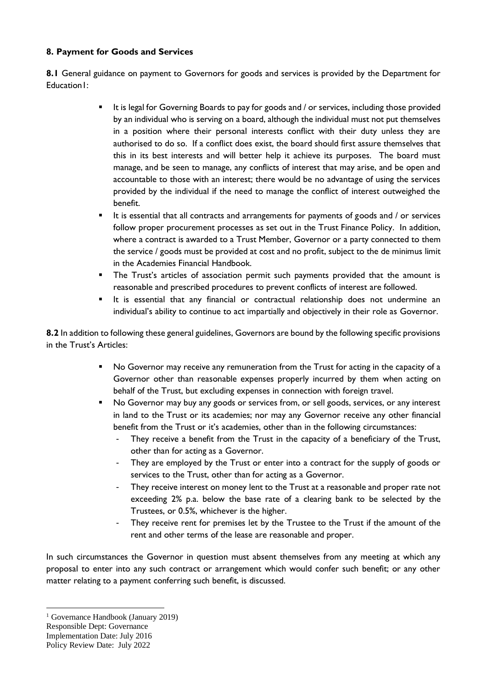#### **8. Payment for Goods and Services**

**8.1** General guidance on payment to Governors for goods and services is provided by the Department for Education<sub>1</sub>:

- It is legal for Governing Boards to pay for goods and / or services, including those provided by an individual who is serving on a board, although the individual must not put themselves in a position where their personal interests conflict with their duty unless they are authorised to do so. If a conflict does exist, the board should first assure themselves that this in its best interests and will better help it achieve its purposes. The board must manage, and be seen to manage, any conflicts of interest that may arise, and be open and accountable to those with an interest; there would be no advantage of using the services provided by the individual if the need to manage the conflict of interest outweighed the benefit.
- It is essential that all contracts and arrangements for payments of goods and / or services follow proper procurement processes as set out in the Trust Finance Policy. In addition, where a contract is awarded to a Trust Member, Governor or a party connected to them the service / goods must be provided at cost and no profit, subject to the de minimus limit in the Academies Financial Handbook.
- **•** The Trust's articles of association permit such payments provided that the amount is reasonable and prescribed procedures to prevent conflicts of interest are followed.
- It is essential that any financial or contractual relationship does not undermine an individual's ability to continue to act impartially and objectively in their role as Governor.

**8.2** In addition to following these general guidelines, Governors are bound by the following specific provisions in the Trust's Articles:

- No Governor may receive any remuneration from the Trust for acting in the capacity of a Governor other than reasonable expenses properly incurred by them when acting on behalf of the Trust, but excluding expenses in connection with foreign travel.
- No Governor may buy any goods or services from, or sell goods, services, or any interest in land to the Trust or its academies; nor may any Governor receive any other financial benefit from the Trust or it's academies, other than in the following circumstances:
	- They receive a benefit from the Trust in the capacity of a beneficiary of the Trust, other than for acting as a Governor.
	- They are employed by the Trust or enter into a contract for the supply of goods or services to the Trust, other than for acting as a Governor.
	- They receive interest on money lent to the Trust at a reasonable and proper rate not exceeding 2% p.a. below the base rate of a clearing bank to be selected by the Trustees, or 0.5%, whichever is the higher.
	- They receive rent for premises let by the Trustee to the Trust if the amount of the rent and other terms of the lease are reasonable and proper.

In such circumstances the Governor in question must absent themselves from any meeting at which any proposal to enter into any such contract or arrangement which would confer such benefit; or any other matter relating to a payment conferring such benefit, is discussed.

<sup>1</sup> Governance Handbook (January 2019)

Responsible Dept: Governance

Implementation Date: July 2016

Policy Review Date: July 2022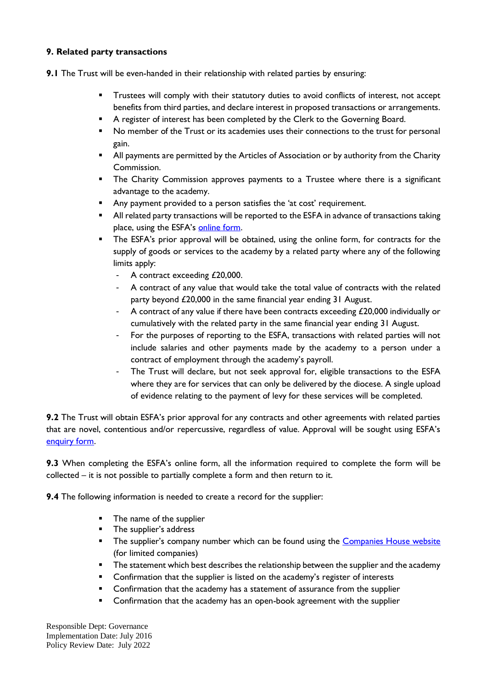#### **9. Related party transactions**

**9.1** The Trust will be even-handed in their relationship with related parties by ensuring:

- **•** Trustees will comply with their statutory duties to avoid conflicts of interest, not accept benefits from third parties, and declare interest in proposed transactions or arrangements.
- **•** A register of interest has been completed by the Clerk to the Governing Board.
- No member of the Trust or its academies uses their connections to the trust for personal gain.
- All payments are permitted by the Articles of Association or by authority from the Charity Commission.
- **•** The Charity Commission approves payments to a Trustee where there is a significant advantage to the academy.
- Any payment provided to a person satisfies the 'at cost' requirement.
- All related party transactions will be reported to the ESFA in advance of transactions taking place, using the ESFA's [online form.](https://www.gov.uk/government/publications/related-party-transactions-information-for-academy-trusts)
- **•** The ESFA's prior approval will be obtained, using the online form, for contracts for the supply of goods or services to the academy by a related party where any of the following limits apply:
	- A contract exceeding £20,000.
	- A contract of any value that would take the total value of contracts with the related party beyond £20,000 in the same financial year ending 31 August.
	- A contract of any value if there have been contracts exceeding  $£20,000$  individually or cumulatively with the related party in the same financial year ending 31 August.
	- For the purposes of reporting to the ESFA, transactions with related parties will not include salaries and other payments made by the academy to a person under a contract of employment through the academy's payroll.
	- The Trust will declare, but not seek approval for, eligible transactions to the ESFA where they are for services that can only be delivered by the diocese. A single upload of evidence relating to the payment of levy for these services will be completed.

**9.2** The Trust will obtain ESFA's prior approval for any contracts and other agreements with related parties that are novel, contentious and/or repercussive, regardless of value. Approval will be sought using ESFA's [enquiry form.](https://form.education.gov.uk/en/AchieveForms/?form_uri=sandbox-publish://AF-Process-f9f4f5a1-936f-448b-bbeb-9dcdd595f468/AF-Stage-8aa41278-3cdd-45a3-ad87-80cbffb8b992/definition.json&redirectlink=%2Fen&cancelRedirectLink=%2Fen)

**9.3** When completing the ESFA's online form, all the information required to complete the form will be collected – it is not possible to partially complete a form and then return to it.

**9.4** The following information is needed to create a record for the supplier:

- The name of the supplier
- **■** The supplier's address
- **•** The supplier's company number which can be found using the [Companies House website](https://beta.companieshouse.gov.uk/) (for limited companies)
- **•** The statement which best describes the relationship between the supplier and the academy
- Confirmation that the supplier is listed on the academy's register of interests
- Confirmation that the academy has a statement of assurance from the supplier
- Confirmation that the academy has an open-book agreement with the supplier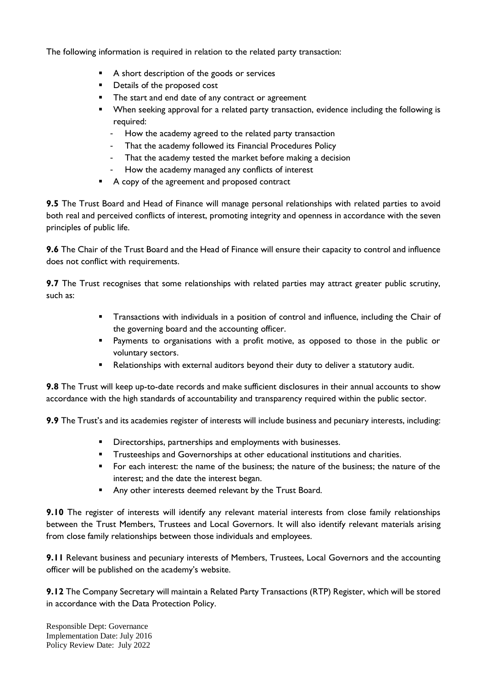The following information is required in relation to the related party transaction:

- A short description of the goods or services
- Details of the proposed cost
- The start and end date of any contract or agreement
- When seeking approval for a related party transaction, evidence including the following is required:
	- How the academy agreed to the related party transaction
	- That the academy followed its Financial Procedures Policy
	- That the academy tested the market before making a decision
	- How the academy managed any conflicts of interest
- A copy of the agreement and proposed contract

**9.5** The Trust Board and Head of Finance will manage personal relationships with related parties to avoid both real and perceived conflicts of interest, promoting integrity and openness in accordance with the seven principles of public life.

**9.6** The Chair of the Trust Board and the Head of Finance will ensure their capacity to control and influence does not conflict with requirements.

**9.7** The Trust recognises that some relationships with related parties may attract greater public scrutiny, such as:

- **•** Transactions with individuals in a position of control and influence, including the Chair of the governing board and the accounting officer.
- Payments to organisations with a profit motive, as opposed to those in the public or voluntary sectors.
- Relationships with external auditors beyond their duty to deliver a statutory audit.

**9.8** The Trust will keep up-to-date records and make sufficient disclosures in their annual accounts to show accordance with the high standards of accountability and transparency required within the public sector.

**9.9** The Trust's and its academies register of interests will include business and pecuniary interests, including:

- **■** Directorships, partnerships and employments with businesses.
- **•** Trusteeships and Governorships at other educational institutions and charities.
- For each interest: the name of the business; the nature of the business; the nature of the interest; and the date the interest began.
- Any other interests deemed relevant by the Trust Board.

**9.10** The register of interests will identify any relevant material interests from close family relationships between the Trust Members, Trustees and Local Governors. It will also identify relevant materials arising from close family relationships between those individuals and employees.

**9.11** Relevant business and pecuniary interests of Members, Trustees, Local Governors and the accounting officer will be published on the academy's website.

**9.12** The Company Secretary will maintain a Related Party Transactions (RTP) Register, which will be stored in accordance with the Data Protection Policy.